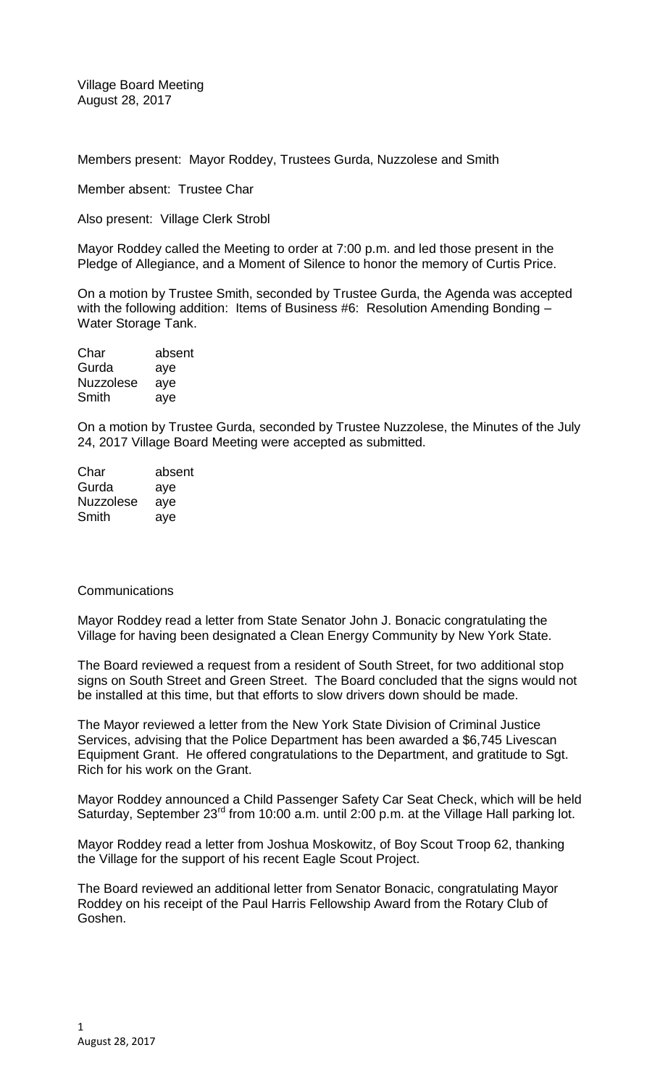Village Board Meeting August 28, 2017

Members present: Mayor Roddey, Trustees Gurda, Nuzzolese and Smith

Member absent: Trustee Char

Also present: Village Clerk Strobl

Mayor Roddey called the Meeting to order at 7:00 p.m. and led those present in the Pledge of Allegiance, and a Moment of Silence to honor the memory of Curtis Price.

On a motion by Trustee Smith, seconded by Trustee Gurda, the Agenda was accepted with the following addition: Items of Business #6: Resolution Amending Bonding -Water Storage Tank.

| Char             | absent |
|------------------|--------|
| Gurda            | aye    |
| <b>Nuzzolese</b> | aye    |
| Smith            | aye    |

On a motion by Trustee Gurda, seconded by Trustee Nuzzolese, the Minutes of the July 24, 2017 Village Board Meeting were accepted as submitted.

| Char             | absent |
|------------------|--------|
| Gurda            | aye    |
| <b>Nuzzolese</b> | aye    |
| Smith            | aye    |

## **Communications**

Mayor Roddey read a letter from State Senator John J. Bonacic congratulating the Village for having been designated a Clean Energy Community by New York State.

The Board reviewed a request from a resident of South Street, for two additional stop signs on South Street and Green Street. The Board concluded that the signs would not be installed at this time, but that efforts to slow drivers down should be made.

The Mayor reviewed a letter from the New York State Division of Criminal Justice Services, advising that the Police Department has been awarded a \$6,745 Livescan Equipment Grant. He offered congratulations to the Department, and gratitude to Sgt. Rich for his work on the Grant.

Mayor Roddey announced a Child Passenger Safety Car Seat Check, which will be held Saturday, September 23<sup>rd</sup> from 10:00 a.m. until 2:00 p.m. at the Village Hall parking lot.

Mayor Roddey read a letter from Joshua Moskowitz, of Boy Scout Troop 62, thanking the Village for the support of his recent Eagle Scout Project.

The Board reviewed an additional letter from Senator Bonacic, congratulating Mayor Roddey on his receipt of the Paul Harris Fellowship Award from the Rotary Club of Goshen.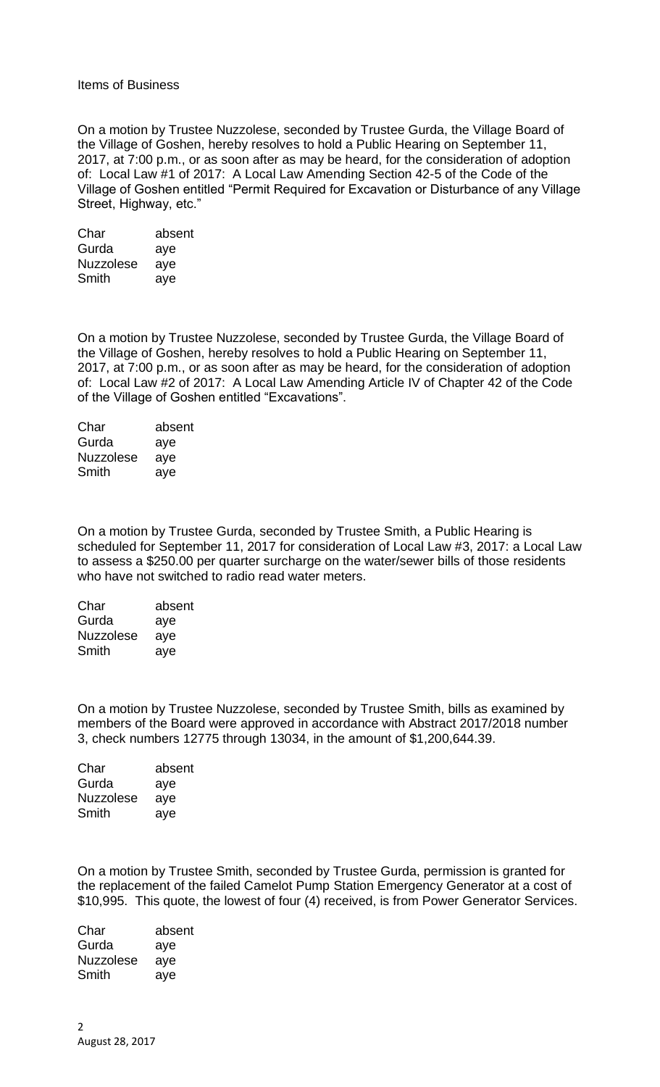### Items of Business

On a motion by Trustee Nuzzolese, seconded by Trustee Gurda, the Village Board of the Village of Goshen, hereby resolves to hold a Public Hearing on September 11, 2017, at 7:00 p.m., or as soon after as may be heard, for the consideration of adoption of: Local Law #1 of 2017: A Local Law Amending Section 42-5 of the Code of the Village of Goshen entitled "Permit Required for Excavation or Disturbance of any Village Street, Highway, etc."

| Char             | absent |
|------------------|--------|
| Gurda            | aye    |
| <b>Nuzzolese</b> | aye    |
| Smith            | aye    |

On a motion by Trustee Nuzzolese, seconded by Trustee Gurda, the Village Board of the Village of Goshen, hereby resolves to hold a Public Hearing on September 11, 2017, at 7:00 p.m., or as soon after as may be heard, for the consideration of adoption of: Local Law #2 of 2017: A Local Law Amending Article IV of Chapter 42 of the Code of the Village of Goshen entitled "Excavations".

| Char             | absent |
|------------------|--------|
| Gurda            | aye    |
| <b>Nuzzolese</b> | aye    |
| Smith            | aye    |

On a motion by Trustee Gurda, seconded by Trustee Smith, a Public Hearing is scheduled for September 11, 2017 for consideration of Local Law #3, 2017: a Local Law to assess a \$250.00 per quarter surcharge on the water/sewer bills of those residents who have not switched to radio read water meters.

| Char             | absent |
|------------------|--------|
| Gurda            | aye    |
| <b>Nuzzolese</b> | aye    |
| Smith            | aye    |

On a motion by Trustee Nuzzolese, seconded by Trustee Smith, bills as examined by members of the Board were approved in accordance with Abstract 2017/2018 number 3, check numbers 12775 through 13034, in the amount of \$1,200,644.39.

| absent |
|--------|
| aye    |
| aye    |
| aye    |
|        |

On a motion by Trustee Smith, seconded by Trustee Gurda, permission is granted for the replacement of the failed Camelot Pump Station Emergency Generator at a cost of \$10,995. This quote, the lowest of four (4) received, is from Power Generator Services.

Char absent Gurda aye Nuzzolese aye Smith aye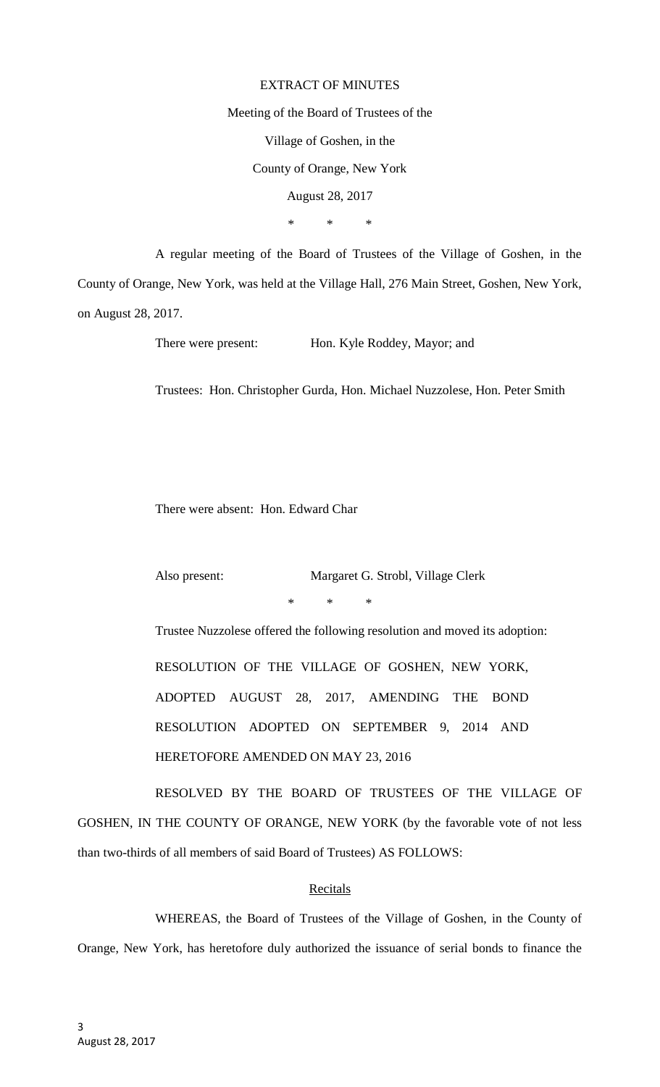## EXTRACT OF MINUTES

Meeting of the Board of Trustees of the Village of Goshen, in the County of Orange, New York August 28, 2017 \* \* \*

A regular meeting of the Board of Trustees of the Village of Goshen, in the County of Orange, New York, was held at the Village Hall, 276 Main Street, Goshen, New York, on August 28, 2017.

There were present: Hon. Kyle Roddey, Mayor; and

Trustees: Hon. Christopher Gurda, Hon. Michael Nuzzolese, Hon. Peter Smith

There were absent: Hon. Edward Char

Also present: Margaret G. Strobl, Village Clerk \* \* \*

Trustee Nuzzolese offered the following resolution and moved its adoption: RESOLUTION OF THE VILLAGE OF GOSHEN, NEW YORK, ADOPTED AUGUST 28, 2017, AMENDING THE BOND RESOLUTION ADOPTED ON SEPTEMBER 9, 2014 AND HERETOFORE AMENDED ON MAY 23, 2016

RESOLVED BY THE BOARD OF TRUSTEES OF THE VILLAGE OF GOSHEN, IN THE COUNTY OF ORANGE, NEW YORK (by the favorable vote of not less than two-thirds of all members of said Board of Trustees) AS FOLLOWS:

#### Recitals

WHEREAS, the Board of Trustees of the Village of Goshen, in the County of Orange, New York, has heretofore duly authorized the issuance of serial bonds to finance the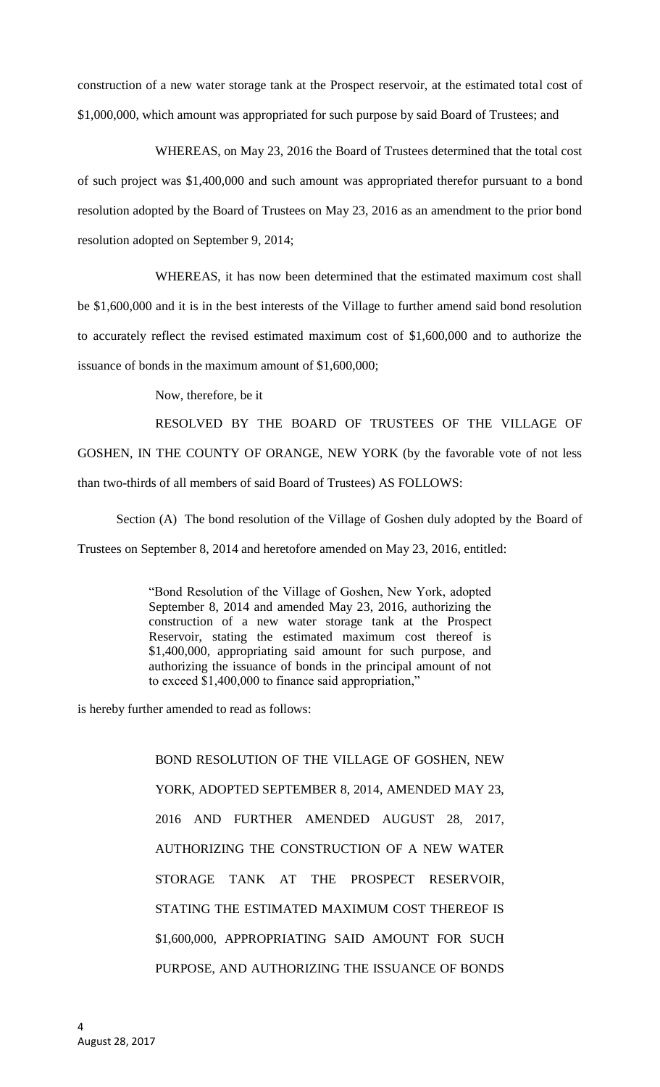construction of a new water storage tank at the Prospect reservoir, at the estimated total cost of \$1,000,000, which amount was appropriated for such purpose by said Board of Trustees; and

WHEREAS, on May 23, 2016 the Board of Trustees determined that the total cost of such project was \$1,400,000 and such amount was appropriated therefor pursuant to a bond resolution adopted by the Board of Trustees on May 23, 2016 as an amendment to the prior bond resolution adopted on September 9, 2014;

WHEREAS, it has now been determined that the estimated maximum cost shall be \$1,600,000 and it is in the best interests of the Village to further amend said bond resolution to accurately reflect the revised estimated maximum cost of \$1,600,000 and to authorize the issuance of bonds in the maximum amount of \$1,600,000;

Now, therefore, be it

RESOLVED BY THE BOARD OF TRUSTEES OF THE VILLAGE OF GOSHEN, IN THE COUNTY OF ORANGE, NEW YORK (by the favorable vote of not less than two-thirds of all members of said Board of Trustees) AS FOLLOWS:

Section (A) The bond resolution of the Village of Goshen duly adopted by the Board of Trustees on September 8, 2014 and heretofore amended on May 23, 2016, entitled:

> "Bond Resolution of the Village of Goshen, New York, adopted September 8, 2014 and amended May 23, 2016, authorizing the construction of a new water storage tank at the Prospect Reservoir, stating the estimated maximum cost thereof is \$1,400,000, appropriating said amount for such purpose, and authorizing the issuance of bonds in the principal amount of not to exceed \$1,400,000 to finance said appropriation,"

is hereby further amended to read as follows:

BOND RESOLUTION OF THE VILLAGE OF GOSHEN, NEW YORK, ADOPTED SEPTEMBER 8, 2014, AMENDED MAY 23, 2016 AND FURTHER AMENDED AUGUST 28, 2017, AUTHORIZING THE CONSTRUCTION OF A NEW WATER STORAGE TANK AT THE PROSPECT RESERVOIR, STATING THE ESTIMATED MAXIMUM COST THEREOF IS \$1,600,000, APPROPRIATING SAID AMOUNT FOR SUCH PURPOSE, AND AUTHORIZING THE ISSUANCE OF BONDS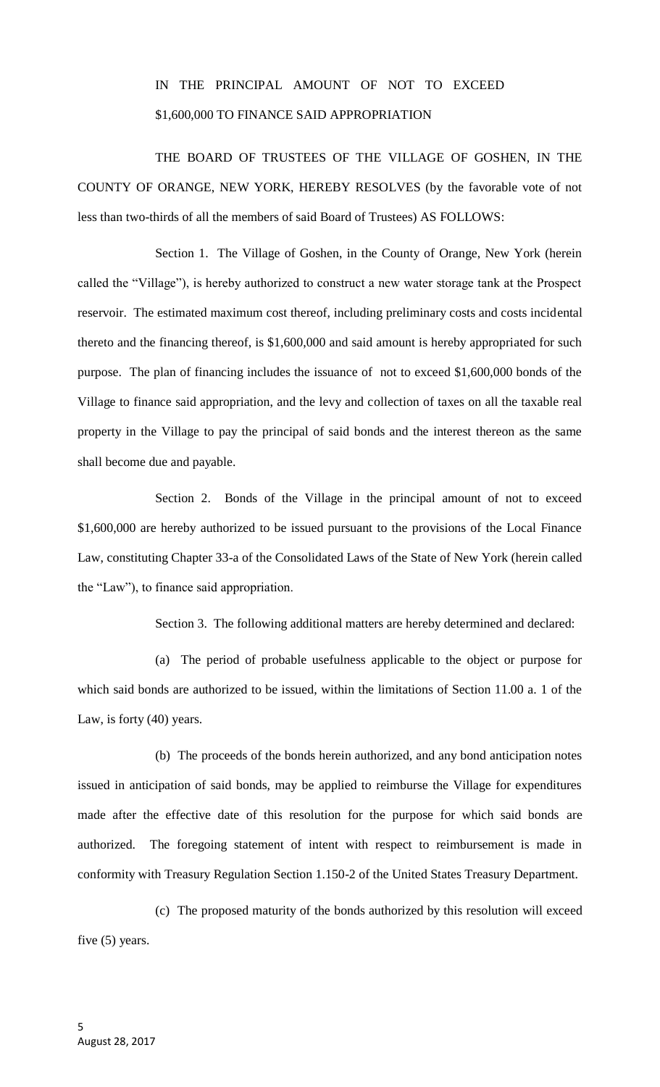# IN THE PRINCIPAL AMOUNT OF NOT TO EXCEED \$1,600,000 TO FINANCE SAID APPROPRIATION

THE BOARD OF TRUSTEES OF THE VILLAGE OF GOSHEN, IN THE COUNTY OF ORANGE, NEW YORK, HEREBY RESOLVES (by the favorable vote of not less than two-thirds of all the members of said Board of Trustees) AS FOLLOWS:

Section 1. The Village of Goshen, in the County of Orange, New York (herein called the "Village"), is hereby authorized to construct a new water storage tank at the Prospect reservoir. The estimated maximum cost thereof, including preliminary costs and costs incidental thereto and the financing thereof, is \$1,600,000 and said amount is hereby appropriated for such purpose. The plan of financing includes the issuance of not to exceed \$1,600,000 bonds of the Village to finance said appropriation, and the levy and collection of taxes on all the taxable real property in the Village to pay the principal of said bonds and the interest thereon as the same shall become due and payable.

Section 2. Bonds of the Village in the principal amount of not to exceed \$1,600,000 are hereby authorized to be issued pursuant to the provisions of the Local Finance Law, constituting Chapter 33-a of the Consolidated Laws of the State of New York (herein called the "Law"), to finance said appropriation.

Section 3. The following additional matters are hereby determined and declared:

(a) The period of probable usefulness applicable to the object or purpose for which said bonds are authorized to be issued, within the limitations of Section 11.00 a. 1 of the Law, is forty (40) years.

(b) The proceeds of the bonds herein authorized, and any bond anticipation notes issued in anticipation of said bonds, may be applied to reimburse the Village for expenditures made after the effective date of this resolution for the purpose for which said bonds are authorized. The foregoing statement of intent with respect to reimbursement is made in conformity with Treasury Regulation Section 1.150-2 of the United States Treasury Department.

(c) The proposed maturity of the bonds authorized by this resolution will exceed five (5) years.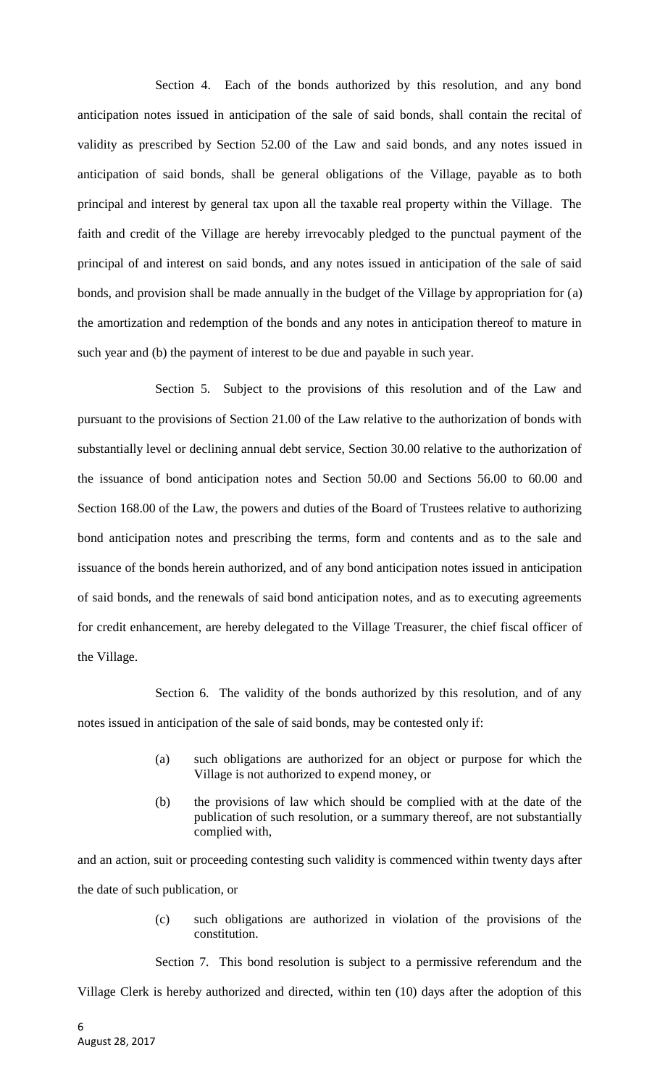Section 4. Each of the bonds authorized by this resolution, and any bond anticipation notes issued in anticipation of the sale of said bonds, shall contain the recital of validity as prescribed by Section 52.00 of the Law and said bonds, and any notes issued in anticipation of said bonds, shall be general obligations of the Village, payable as to both principal and interest by general tax upon all the taxable real property within the Village. The faith and credit of the Village are hereby irrevocably pledged to the punctual payment of the principal of and interest on said bonds, and any notes issued in anticipation of the sale of said bonds, and provision shall be made annually in the budget of the Village by appropriation for (a) the amortization and redemption of the bonds and any notes in anticipation thereof to mature in such year and (b) the payment of interest to be due and payable in such year.

Section 5. Subject to the provisions of this resolution and of the Law and pursuant to the provisions of Section 21.00 of the Law relative to the authorization of bonds with substantially level or declining annual debt service, Section 30.00 relative to the authorization of the issuance of bond anticipation notes and Section 50.00 and Sections 56.00 to 60.00 and Section 168.00 of the Law, the powers and duties of the Board of Trustees relative to authorizing bond anticipation notes and prescribing the terms, form and contents and as to the sale and issuance of the bonds herein authorized, and of any bond anticipation notes issued in anticipation of said bonds, and the renewals of said bond anticipation notes, and as to executing agreements for credit enhancement, are hereby delegated to the Village Treasurer, the chief fiscal officer of the Village.

Section 6. The validity of the bonds authorized by this resolution, and of any notes issued in anticipation of the sale of said bonds, may be contested only if:

- (a) such obligations are authorized for an object or purpose for which the Village is not authorized to expend money, or
- (b) the provisions of law which should be complied with at the date of the publication of such resolution, or a summary thereof, are not substantially complied with,

and an action, suit or proceeding contesting such validity is commenced within twenty days after the date of such publication, or

> (c) such obligations are authorized in violation of the provisions of the constitution.

Section 7. This bond resolution is subject to a permissive referendum and the Village Clerk is hereby authorized and directed, within ten (10) days after the adoption of this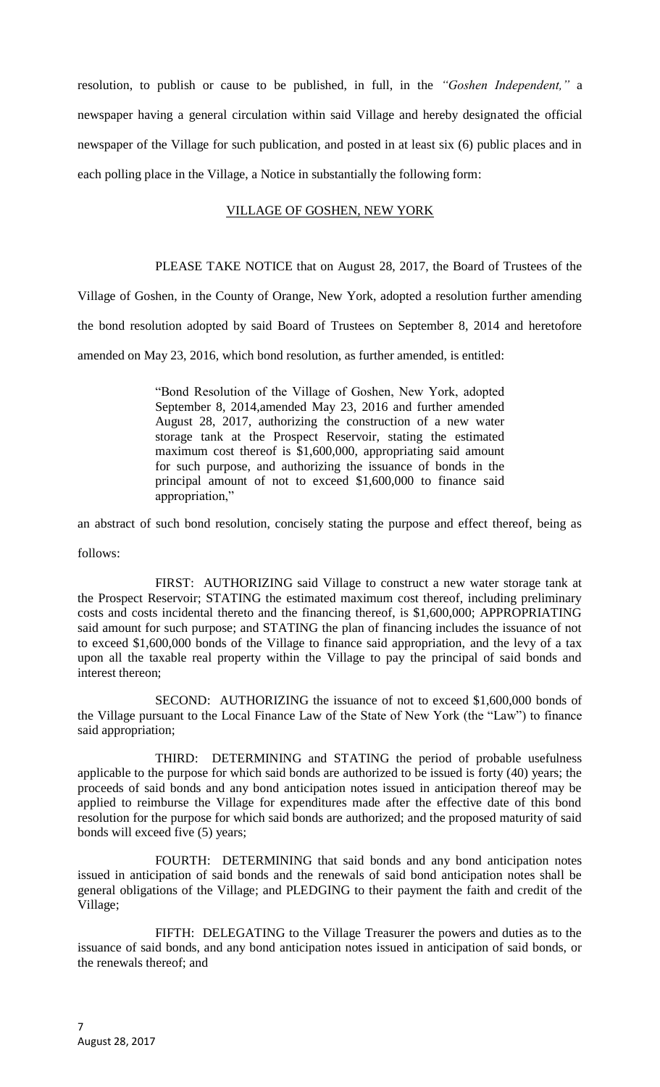resolution, to publish or cause to be published, in full, in the *"Goshen Independent,"* a newspaper having a general circulation within said Village and hereby designated the official newspaper of the Village for such publication, and posted in at least six (6) public places and in each polling place in the Village, a Notice in substantially the following form:

# VILLAGE OF GOSHEN, NEW YORK

# PLEASE TAKE NOTICE that on August 28, 2017, the Board of Trustees of the

Village of Goshen, in the County of Orange, New York, adopted a resolution further amending

the bond resolution adopted by said Board of Trustees on September 8, 2014 and heretofore

amended on May 23, 2016, which bond resolution, as further amended, is entitled:

"Bond Resolution of the Village of Goshen, New York, adopted September 8, 2014,amended May 23, 2016 and further amended August 28, 2017, authorizing the construction of a new water storage tank at the Prospect Reservoir, stating the estimated maximum cost thereof is \$1,600,000, appropriating said amount for such purpose, and authorizing the issuance of bonds in the principal amount of not to exceed \$1,600,000 to finance said appropriation,"

an abstract of such bond resolution, concisely stating the purpose and effect thereof, being as

follows:

FIRST: AUTHORIZING said Village to construct a new water storage tank at the Prospect Reservoir; STATING the estimated maximum cost thereof, including preliminary costs and costs incidental thereto and the financing thereof, is \$1,600,000; APPROPRIATING said amount for such purpose; and STATING the plan of financing includes the issuance of not to exceed \$1,600,000 bonds of the Village to finance said appropriation, and the levy of a tax upon all the taxable real property within the Village to pay the principal of said bonds and interest thereon;

SECOND: AUTHORIZING the issuance of not to exceed \$1,600,000 bonds of the Village pursuant to the Local Finance Law of the State of New York (the "Law") to finance said appropriation;

THIRD: DETERMINING and STATING the period of probable usefulness applicable to the purpose for which said bonds are authorized to be issued is forty (40) years; the proceeds of said bonds and any bond anticipation notes issued in anticipation thereof may be applied to reimburse the Village for expenditures made after the effective date of this bond resolution for the purpose for which said bonds are authorized; and the proposed maturity of said bonds will exceed five (5) years;

FOURTH: DETERMINING that said bonds and any bond anticipation notes issued in anticipation of said bonds and the renewals of said bond anticipation notes shall be general obligations of the Village; and PLEDGING to their payment the faith and credit of the Village;

FIFTH: DELEGATING to the Village Treasurer the powers and duties as to the issuance of said bonds, and any bond anticipation notes issued in anticipation of said bonds, or the renewals thereof; and